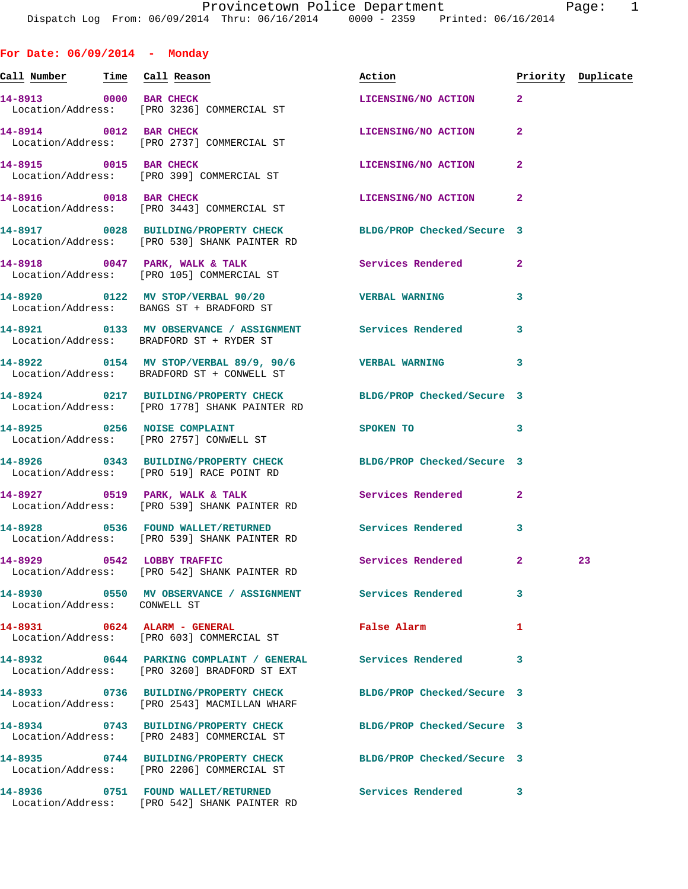**Call Number Time Call Reason Action Priority Duplicate 14-8913 0000 BAR CHECK LICENSING/NO ACTION 2**  Location/Address: [PRO 3236] COMMERCIAL ST **14-8914 0012 BAR CHECK LICENSING/NO ACTION 2**  Location/Address: [PRO 2737] COMMERCIAL ST **14-8915 0015 BAR CHECK LICENSING/NO ACTION 2**  Location/Address: [PRO 399] COMMERCIAL ST **14-8916 0018 BAR CHECK LICENSING/NO ACTION 2**  Location/Address: [PRO 3443] COMMERCIAL ST **14-8917 0028 BUILDING/PROPERTY CHECK BLDG/PROP Checked/Secure 3**  Location/Address: [PRO 530] SHANK PAINTER RD **14-8918 0047 PARK, WALK & TALK Services Rendered 2**  Location/Address: [PRO 105] COMMERCIAL ST **14-8920 0122 MV STOP/VERBAL 90/20 VERBAL WARNING 3**  Location/Address: BANGS ST + BRADFORD ST **14-8921 0133 MV OBSERVANCE / ASSIGNMENT Services Rendered 3**  Location/Address: BRADFORD ST + RYDER ST **14-8922 0154 MV STOP/VERBAL 89/9, 90/6 VERBAL WARNING 3**  Location/Address: BRADFORD ST + CONWELL ST **14-8924 0217 BUILDING/PROPERTY CHECK BLDG/PROP Checked/Secure 3**  Location/Address: [PRO 1778] SHANK PAINTER RD **14-8925 0256 NOISE COMPLAINT SPOKEN TO 3**  Location/Address: [PRO 2757] CONWELL ST **14-8926 0343 BUILDING/PROPERTY CHECK BLDG/PROP Checked/Secure 3**  Location/Address: [PRO 519] RACE POINT RD **14-8927 0519 PARK, WALK & TALK Services Rendered 2**  Location/Address: [PRO 539] SHANK PAINTER RD **14-8928 0536 FOUND WALLET/RETURNED Services Rendered 3**  Location/Address: [PRO 539] SHANK PAINTER RD **14-8929 0542 LOBBY TRAFFIC Services Rendered 2 23**  Location/Address: [PRO 542] SHANK PAINTER RD **14-8930 0550 MV OBSERVANCE / ASSIGNMENT Services Rendered 3**  Location/Address: CONWELL ST **14-8931 0624 ALARM - GENERAL False Alarm 1**  Location/Address: [PRO 603] COMMERCIAL ST **14-8932 0644 PARKING COMPLAINT / GENERAL Services Rendered 3**  Location/Address: [PRO 3260] BRADFORD ST EXT **14-8933 0736 BUILDING/PROPERTY CHECK BLDG/PROP Checked/Secure 3**  Location/Address: [PRO 2543] MACMILLAN WHARF **14-8934 0743 BUILDING/PROPERTY CHECK BLDG/PROP Checked/Secure 3**  Location/Address: [PRO 2483] COMMERCIAL ST **14-8935 0744 BUILDING/PROPERTY CHECK BLDG/PROP Checked/Secure 3**  Location/Address: [PRO 2206] COMMERCIAL ST

**For Date: 06/09/2014 - Monday**

**14-8936 0751 FOUND WALLET/RETURNED Services Rendered 3**  Location/Address: [PRO 542] SHANK PAINTER RD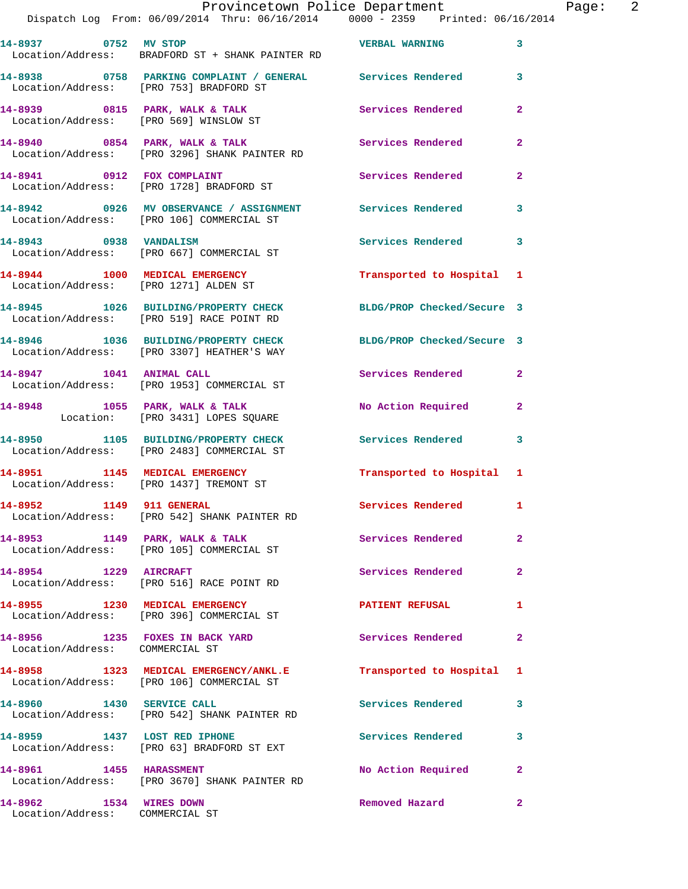|                                        | Provincetown Police Department                                                                                                     |                          |                |
|----------------------------------------|------------------------------------------------------------------------------------------------------------------------------------|--------------------------|----------------|
|                                        | Dispatch Log From: 06/09/2014 Thru: 06/16/2014 0000 - 2359 Printed: 06/16/2014                                                     |                          |                |
|                                        |                                                                                                                                    |                          |                |
| 14-8937 0752 MV STOP                   |                                                                                                                                    | <b>VERBAL WARNING</b>    | 3              |
|                                        | Location/Address: BRADFORD ST + SHANK PAINTER RD                                                                                   |                          |                |
|                                        |                                                                                                                                    |                          |                |
|                                        | 14-8938                0758   PARKING COMPLAINT / GENERAL             Services Rendered<br>Location/Address: [PRO 753] BRADFORD ST |                          | 3              |
|                                        |                                                                                                                                    |                          |                |
|                                        | 14-8939 0815 PARK, WALK & TALK                                                                                                     | <b>Services Rendered</b> | $\overline{2}$ |
| Location/Address: [PRO 569] WINSLOW ST |                                                                                                                                    |                          |                |
|                                        |                                                                                                                                    |                          |                |
|                                        | 14-8940 0854 PARK, WALK & TALK CONTROLLER Services Rendered                                                                        |                          | $\overline{2}$ |
|                                        | Location/Address: [PRO 3296] SHANK PAINTER RD                                                                                      |                          |                |
| 14-8941 0912 FOX COMPLAINT             |                                                                                                                                    | Services Rendered        | $\overline{2}$ |
|                                        | Location/Address: [PRO 1728] BRADFORD ST                                                                                           |                          |                |
|                                        |                                                                                                                                    |                          |                |
|                                        |                                                                                                                                    |                          | 3              |
|                                        | Location/Address: [PRO 106] COMMERCIAL ST                                                                                          |                          |                |

**14-8943 0938 VANDALISM Services Rendered 3**  Location/Address: [PRO 667] COMMERCIAL ST

**14-8944 1000 MEDICAL EMERGENCY Transported to Hospital 1**  Location/Address: [PRO 1271] ALDEN ST

**14-8945 1026 BUILDING/PROPERTY CHECK BLDG/PROP Checked/Secure 3**  Location/Address: [PRO 519] RACE POINT RD

**14-8946 1036 BUILDING/PROPERTY CHECK BLDG/PROP Checked/Secure 3**  Location/Address: [PRO 3307] HEATHER'S WAY

14-8947 1041 ANIMAL CALL **Services Rendered** 2 Location/Address: [PRO 1953] COMMERCIAL ST

**14-8948 1055 PARK, WALK & TALK No Action Required 2**  Location: [PRO 3431] LOPES SQUARE

**14-8950 1105 BUILDING/PROPERTY CHECK Services Rendered 3**  Location/Address: [PRO 2483] COMMERCIAL ST

**14-8951 1145 MEDICAL EMERGENCY Transported to Hospital 1**  Location/Address: [PRO 1437] TREMONT ST

**14-8952 1149 911 GENERAL Services Rendered 1**  Location/Address: [PRO 542] SHANK PAINTER RD

**14-8953 1149 PARK, WALK & TALK Services Rendered 2**  Location/Address: [PRO 105] COMMERCIAL ST

**14-8954 1229 AIRCRAFT Services Rendered 2**  Location/Address: [PRO 516] RACE POINT RD

**14-8955 1230 MEDICAL EMERGENCY PATIENT REFUSAL 1**  Location/Address: [PRO 396] COMMERCIAL ST

**14-8956 1235 FOXES IN BACK YARD Services Rendered 2**  Location/Address: COMMERCIAL ST

**14-8958 1323 MEDICAL EMERGENCY/ANKL.E Transported to Hospital 1**  Location/Address: [PRO 106] COMMERCIAL ST

**14-8960 1430 SERVICE CALL Services Rendered 3**  Location/Address: [PRO 542] SHANK PAINTER RD

**14-8959 1437 LOST RED IPHONE Services Rendered 3**  Location/Address: [PRO 63] BRADFORD ST EXT

**14-8961 1455 HARASSMENT No Action Required 2**  Location/Address: [PRO 3670] SHANK PAINTER RD

**14-8962 1534 WIRES DOWN Removed Hazard 2**  Location/Address: COMMERCIAL ST

Page: 2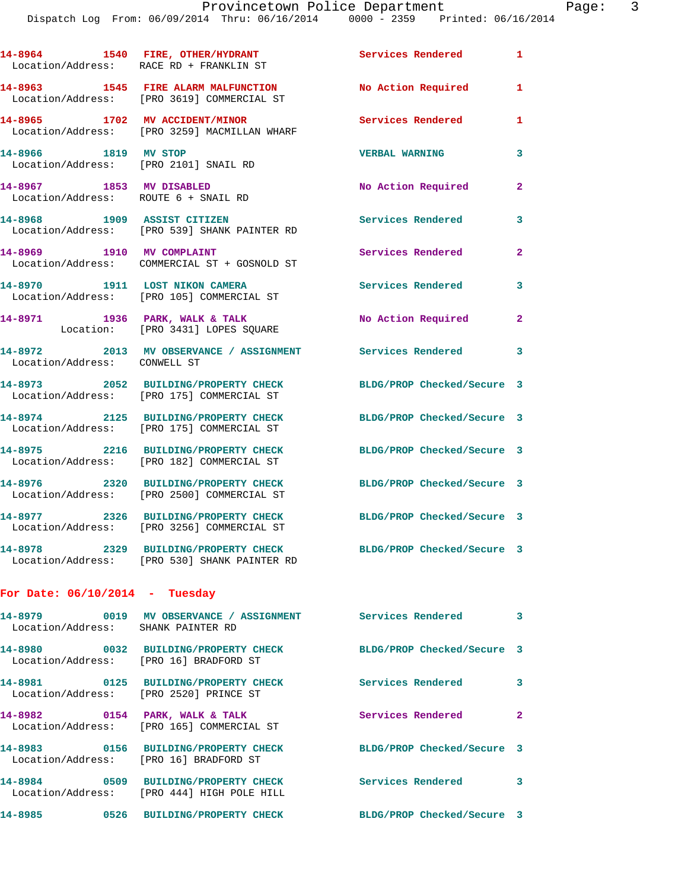|                                                                  | 14-8964 1540 FIRE, OTHER/HYDRANT<br>Location/Address: RACE RD + FRANKLIN ST          | Services Rendered          | $\mathbf{1}$            |
|------------------------------------------------------------------|--------------------------------------------------------------------------------------|----------------------------|-------------------------|
|                                                                  | 14-8963 1545 FIRE ALARM MALFUNCTION<br>Location/Address: [PRO 3619] COMMERCIAL ST    | No Action Required         | $\mathbf{1}$            |
|                                                                  | 14-8965 1702 MV ACCIDENT/MINOR<br>Location/Address: [PRO 3259] MACMILLAN WHARF       | <b>Services Rendered</b>   | 1                       |
| 14-8966 1819 MV STOP<br>Location/Address: [PRO 2101] SNAIL RD    |                                                                                      | <b>VERBAL WARNING</b>      | 3                       |
| 14-8967 1853 MV DISABLED<br>Location/Address: ROUTE 6 + SNAIL RD |                                                                                      | No Action Required         | $\overline{2}$          |
| 14-8968 1909 ASSIST CITIZEN                                      | Location/Address: [PRO 539] SHANK PAINTER RD                                         | <b>Services Rendered</b>   | 3                       |
| 14-8969 1910 MV COMPLAINT                                        | Location/Address: COMMERCIAL ST + GOSNOLD ST                                         | Services Rendered          | $\overline{2}$          |
| 14-8970 1911 LOST NIKON CAMERA                                   | Location/Address: [PRO 105] COMMERCIAL ST                                            | <b>Services Rendered</b>   | 3                       |
|                                                                  | 14-8971 1936 PARK, WALK & TALK<br>Location: [PRO 3431] LOPES SQUARE                  | No Action Required         | $\overline{2}$          |
| Location/Address: CONWELL ST                                     | 14-8972 2013 MV OBSERVANCE / ASSIGNMENT                                              | Services Rendered          | 3                       |
|                                                                  | 14-8973 2052 BUILDING/PROPERTY CHECK<br>Location/Address: [PRO 175] COMMERCIAL ST    | BLDG/PROP Checked/Secure 3 |                         |
|                                                                  | 14-8974 2125 BUILDING/PROPERTY CHECK<br>Location/Address: [PRO 175] COMMERCIAL ST    | BLDG/PROP Checked/Secure 3 |                         |
|                                                                  | 14-8975 2216 BUILDING/PROPERTY CHECK<br>Location/Address: [PRO 182] COMMERCIAL ST    | BLDG/PROP Checked/Secure 3 |                         |
|                                                                  | 14-8976 2320 BUILDING/PROPERTY CHECK<br>Location/Address: [PRO 2500] COMMERCIAL ST   | BLDG/PROP Checked/Secure 3 |                         |
| 14-8977                                                          | 2326 BUILDING/PROPERTY CHECK<br>Location/Address: [PRO 3256] COMMERCIAL ST           | BLDG/PROP Checked/Secure 3 |                         |
|                                                                  | 14-8978 2329 BUILDING/PROPERTY CHECK<br>Location/Address: [PRO 530] SHANK PAINTER RD | BLDG/PROP Checked/Secure 3 |                         |
| For Date: $06/10/2014$ - Tuesday                                 |                                                                                      |                            |                         |
| Location/Address: SHANK PAINTER RD                               |                                                                                      | <b>Services Rendered</b>   | $\overline{\mathbf{3}}$ |
| Location/Address: [PRO 16] BRADFORD ST                           | 14-8980 0032 BUILDING/PROPERTY CHECK                                                 | BLDG/PROP Checked/Secure 3 |                         |
| Location/Address: [PRO 2520] PRINCE ST                           | 14-8981 0125 BUILDING/PROPERTY CHECK                                                 | <b>Services Rendered</b>   | 3                       |
|                                                                  | 14-8982 0154 PARK, WALK & TALK<br>Location/Address: [PRO 165] COMMERCIAL ST          | Services Rendered          | $\mathbf{2}$            |
| Location/Address: [PRO 16] BRADFORD ST                           | 14-8983 0156 BUILDING/PROPERTY CHECK                                                 | BLDG/PROP Checked/Secure 3 |                         |
|                                                                  | 14-8984 0509 BUILDING/PROPERTY CHECK<br>Location/Address: [PRO 444] HIGH POLE HILL   | <b>Services Rendered</b>   | 3                       |
| 14-8985                                                          | 0526 BUILDING/PROPERTY CHECK                                                         | BLDG/PROP Checked/Secure 3 |                         |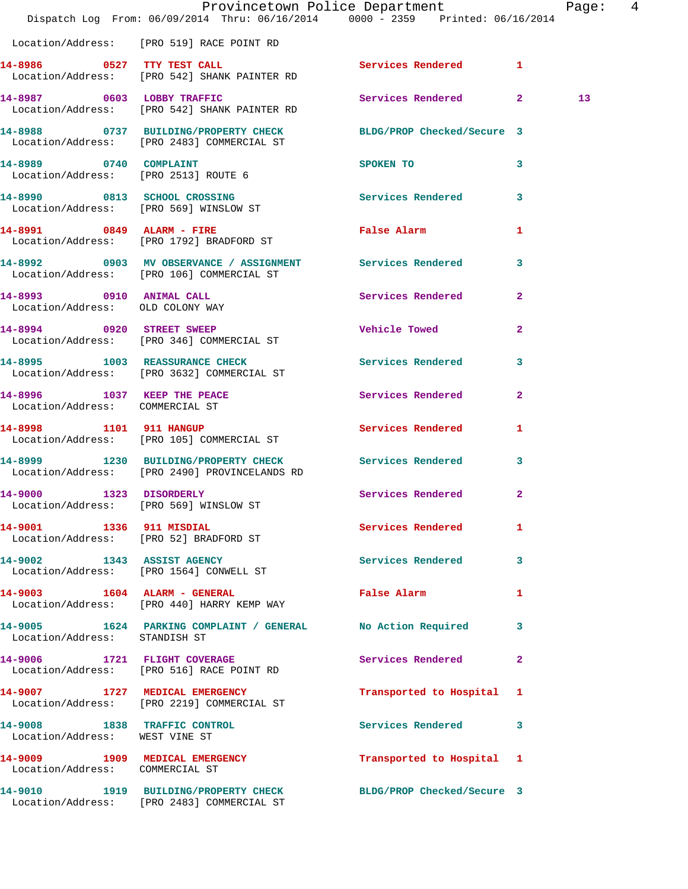|                                                                | Dispatch Log From: 06/09/2014 Thru: 06/16/2014 0000 - 2359 Printed: 06/16/2014                                | Provincetown Police Department                                                                                 |                | Page: 4 |  |
|----------------------------------------------------------------|---------------------------------------------------------------------------------------------------------------|----------------------------------------------------------------------------------------------------------------|----------------|---------|--|
|                                                                | Location/Address: [PRO 519] RACE POINT RD                                                                     |                                                                                                                |                |         |  |
|                                                                | 14-8986 0527 TTY TEST CALL<br>Location/Address: [PRO 542] SHANK PAINTER RD                                    | Services Rendered 1                                                                                            |                |         |  |
|                                                                | 14-8987 0603 LOBBY TRAFFIC<br>Location/Address: [PRO 542] SHANK PAINTER RD                                    | Services Rendered 2                                                                                            |                | 13      |  |
|                                                                | 14-8988 0737 BUILDING/PROPERTY CHECK BLDG/PROP Checked/Secure 3<br>Location/Address: [PRO 2483] COMMERCIAL ST |                                                                                                                |                |         |  |
| 14-8989 0740 COMPLAINT<br>Location/Address: [PRO 2513] ROUTE 6 |                                                                                                               | SPOKEN TO THE STATE OF THE SPOKEN TO                                                                           | 3              |         |  |
|                                                                | 14-8990 0813 SCHOOL CROSSING<br>Location/Address: [PRO 569] WINSLOW ST                                        | Services Rendered 3                                                                                            |                |         |  |
|                                                                | 14-8991 0849 ALARM - FIRE<br>Location/Address: [PRO 1792] BRADFORD ST                                         | False Alarm and the state of the state of the state of the state of the state of the state of the state of the | 1              |         |  |
|                                                                | 14-8992 0903 MV OBSERVANCE / ASSIGNMENT Services Rendered<br>Location/Address: [PRO 106] COMMERCIAL ST        |                                                                                                                | $\mathbf{3}$   |         |  |
| 14-8993 0910 ANIMAL CALL<br>Location/Address: OLD COLONY WAY   |                                                                                                               | <b>Services Rendered</b>                                                                                       | $\overline{2}$ |         |  |
|                                                                | 14-8994 0920 STREET SWEEP<br>Location/Address: [PRO 346] COMMERCIAL ST                                        | <b>Vehicle Towed</b>                                                                                           | $\mathbf{2}$   |         |  |
|                                                                | 14-8995 1003 REASSURANCE CHECK<br>Location/Address: [PRO 3632] COMMERCIAL ST                                  | Services Rendered 3                                                                                            |                |         |  |
| Location/Address: COMMERCIAL ST                                | 14-8996 1037 KEEP THE PEACE                                                                                   | Services Rendered                                                                                              | $\mathbf{2}$   |         |  |
|                                                                | 14-8998 1101 911 HANGUP<br>Location/Address: [PRO 105] COMMERCIAL ST                                          | Services Rendered 1                                                                                            |                |         |  |
|                                                                | 14-8999 1230 BUILDING/PROPERTY CHECK<br>Location/Address: [PRO 2490] PROVINCELANDS RD                         | <b>Services Rendered</b>                                                                                       | 3              |         |  |
| 1323 DISORDERLY<br>14-9000                                     | Location/Address: [PRO 569] WINSLOW ST                                                                        | Services Rendered 2                                                                                            |                |         |  |
| 14-9001 1336 911 MISDIAL                                       | Location/Address: [PRO 52] BRADFORD ST                                                                        | Services Rendered                                                                                              | 1              |         |  |
|                                                                | 14-9002 1343 ASSIST AGENCY<br>Location/Address: [PRO 1564] CONWELL ST                                         | <b>Services Rendered</b>                                                                                       | $\mathbf{3}$   |         |  |
|                                                                | 14-9003 1604 ALARM - GENERAL<br>Location/Address: [PRO 440] HARRY KEMP WAY                                    | False Alarm <b>Exercise Service Service</b>                                                                    | 1              |         |  |
| Location/Address: STANDISH ST                                  | 14-9005 1624 PARKING COMPLAINT / GENERAL No Action Required 3                                                 |                                                                                                                |                |         |  |
|                                                                | 14-9006 1721 FLIGHT COVERAGE<br>Location/Address: [PRO 516] RACE POINT RD                                     | Services Rendered                                                                                              | $\mathbf{2}$   |         |  |
|                                                                | 14-9007 1727 MEDICAL EMERGENCY<br>Location/Address: [PRO 2219] COMMERCIAL ST                                  | Transported to Hospital 1                                                                                      |                |         |  |
| Location/Address: WEST VINE ST                                 | 14-9008 1838 TRAFFIC CONTROL                                                                                  | Services Rendered 3                                                                                            |                |         |  |
| Location/Address: COMMERCIAL ST                                | 14-9009 1909 MEDICAL EMERGENCY                                                                                | Transported to Hospital 1                                                                                      |                |         |  |
|                                                                | 14-9010 1919 BUILDING/PROPERTY CHECK<br>Location/Address: [PRO 2483] COMMERCIAL ST                            | BLDG/PROP Checked/Secure 3                                                                                     |                |         |  |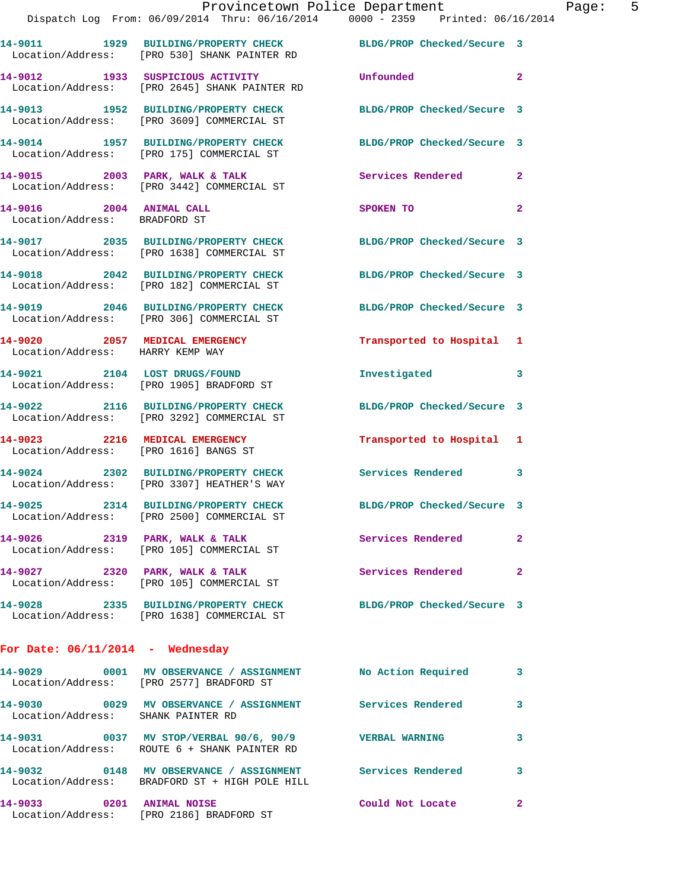|                                                                    | Provincetown Police Department<br>Dispatch Log From: 06/09/2014 Thru: 06/16/2014 0000 - 2359 Printed: 06/16/2014 |                            |              |
|--------------------------------------------------------------------|------------------------------------------------------------------------------------------------------------------|----------------------------|--------------|
|                                                                    | 14-9011 1929 BUILDING/PROPERTY CHECK BLDG/PROP Checked/Secure 3<br>Location/Address: [PRO 530] SHANK PAINTER RD  |                            |              |
|                                                                    | 14-9012 1933 SUSPICIOUS ACTIVITY<br>Location/Address: [PRO 2645] SHANK PAINTER RD                                | Unfounded                  | $\mathbf{2}$ |
|                                                                    | 14-9013 1952 BUILDING/PROPERTY CHECK<br>Location/Address: [PRO 3609] COMMERCIAL ST                               | BLDG/PROP Checked/Secure 3 |              |
|                                                                    | 14-9014 1957 BUILDING/PROPERTY CHECK<br>Location/Address: [PRO 175] COMMERCIAL ST                                | BLDG/PROP Checked/Secure 3 |              |
|                                                                    | 14-9015 2003 PARK, WALK & TALK<br>Location/Address: [PRO 3442] COMMERCIAL ST                                     | Services Rendered          | $\mathbf{2}$ |
| 14-9016 2004 ANIMAL CALL<br>Location/Address: BRADFORD ST          |                                                                                                                  | SPOKEN TO                  | $\mathbf{2}$ |
|                                                                    | 14-9017 2035 BUILDING/PROPERTY CHECK BLDG/PROP Checked/Secure 3<br>Location/Address: [PRO 1638] COMMERCIAL ST    |                            |              |
|                                                                    | 14-9018 2042 BUILDING/PROPERTY CHECK<br>Location/Address: [PRO 182] COMMERCIAL ST                                | BLDG/PROP Checked/Secure 3 |              |
|                                                                    | 14-9019 2046 BUILDING/PROPERTY CHECK<br>Location/Address: [PRO 306] COMMERCIAL ST                                | BLDG/PROP Checked/Secure 3 |              |
| 14-9020 2057 MEDICAL EMERGENCY<br>Location/Address: HARRY KEMP WAY |                                                                                                                  | Transported to Hospital    | 1            |
|                                                                    | 14-9021 2104 LOST DRUGS/FOUND<br>Location/Address: [PRO 1905] BRADFORD ST                                        | Investigated               | 3            |
|                                                                    | 14-9022 2116 BUILDING/PROPERTY CHECK<br>Location/Address: [PRO 3292] COMMERCIAL ST                               | BLDG/PROP Checked/Secure 3 |              |
| 14-9023 2216 MEDICAL EMERGENCY                                     | Location/Address: [PRO 1616] BANGS ST                                                                            | Transported to Hospital    | 1            |
|                                                                    | 14-9024 2302 BUILDING/PROPERTY CHECK<br>Location/Address: [PRO 3307] HEATHER'S WAY                               | Services Rendered          | 3            |
|                                                                    | 14-9025 2314 BUILDING/PROPERTY CHECK<br>Location/Address: [PRO 2500] COMMERCIAL ST                               | BLDG/PROP Checked/Secure 3 |              |
|                                                                    | 14-9026 2319 PARK, WALK & TALK<br>Location/Address: [PRO 105] COMMERCIAL ST                                      | Services Rendered          | $\mathbf{2}$ |
|                                                                    | 14-9027 2320 PARK, WALK & TALK<br>Location/Address: [PRO 105] COMMERCIAL ST                                      | Services Rendered          | $\mathbf{2}$ |
|                                                                    | 14-9028 2335 BUILDING/PROPERTY CHECK BLDG/PROP Checked/Secure 3<br>Location/Address: [PRO 1638] COMMERCIAL ST    |                            |              |
| For Date: $06/11/2014$ - Wednesday                                 |                                                                                                                  |                            |              |
|                                                                    | 14-9029 0001 MV OBSERVANCE / ASSIGNMENT NO Action Required<br>Location/Address: [PRO 2577] BRADFORD ST           |                            | 3            |
| Location/Address: SHANK PAINTER RD                                 | 14-9030 0029 MV OBSERVANCE / ASSIGNMENT Services Rendered                                                        |                            | 3            |
|                                                                    | 14-9031 0037 MV STOP/VERBAL 90/6, 90/9 VERBAL WARNING<br>Location/Address: ROUTE 6 + SHANK PAINTER RD            |                            | 3            |
|                                                                    | 14-9032 0148 MV OBSERVANCE / ASSIGNMENT Services Rendered<br>Location/Address: BRADFORD ST + HIGH POLE HILL      |                            | 3            |

**14-9033 0201 ANIMAL NOISE Could Not Locate 2**  Location/Address: [PRO 2186] BRADFORD ST

Page:  $5$ <br>014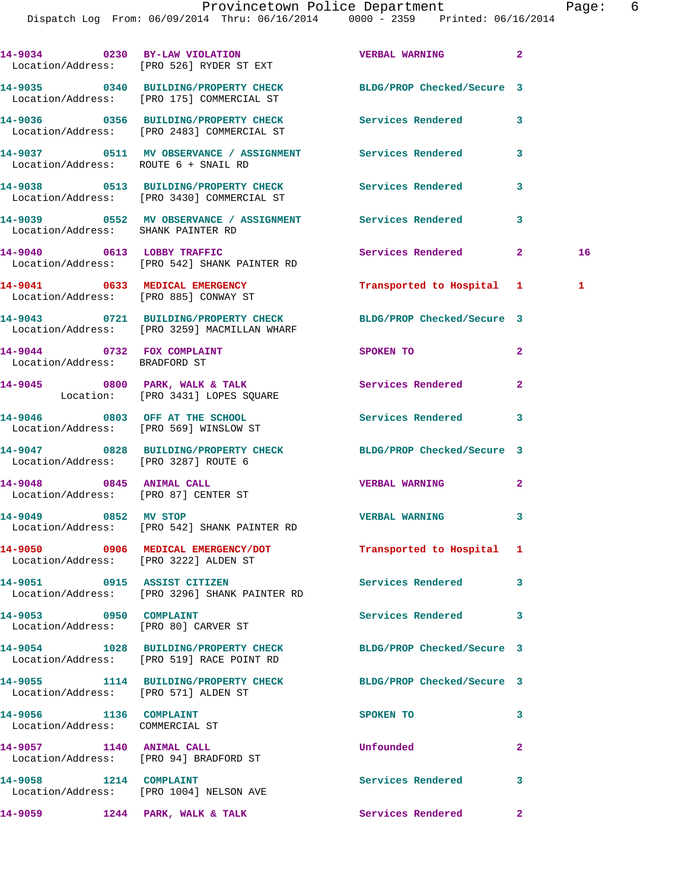|                                                             | 14-9034 0230 BY-LAW VIOLATION<br>Location/Address: [PRO 526] RYDER ST EXT                                    | <b>VERBAL WARNING</b>      | $\mathbf{2}$ |    |
|-------------------------------------------------------------|--------------------------------------------------------------------------------------------------------------|----------------------------|--------------|----|
|                                                             | 14-9035 0340 BUILDING/PROPERTY CHECK BLDG/PROP Checked/Secure 3<br>Location/Address: [PRO 175] COMMERCIAL ST |                            |              |    |
|                                                             | 14-9036 0356 BUILDING/PROPERTY CHECK<br>Location/Address: [PRO 2483] COMMERCIAL ST                           | Services Rendered          | 3            |    |
|                                                             | 14-9037 0511 MV OBSERVANCE / ASSIGNMENT Services Rendered<br>Location/Address: ROUTE 6 + SNAIL RD            |                            | 3            |    |
|                                                             | 14-9038 0513 BUILDING/PROPERTY CHECK Services Rendered<br>Location/Address: [PRO 3430] COMMERCIAL ST         |                            | 3            |    |
|                                                             | 14-9039 		 0552 MV OBSERVANCE / ASSIGNMENT Services Rendered<br>Location/Address: SHANK PAINTER RD           |                            | 3            |    |
|                                                             | 14-9040 0613 LOBBY TRAFFIC<br>Location/Address: [PRO 542] SHANK PAINTER RD                                   | Services Rendered 2        |              | 16 |
|                                                             | 14-9041 0633 MEDICAL EMERGENCY<br>Location/Address: [PRO 885] CONWAY ST                                      | Transported to Hospital 1  |              | 1  |
|                                                             | 14-9043 0721 BUILDING/PROPERTY CHECK<br>Location/Address: [PRO 3259] MACMILLAN WHARF                         | BLDG/PROP Checked/Secure 3 |              |    |
| 14-9044 0732 FOX COMPLAINT<br>Location/Address: BRADFORD ST |                                                                                                              | <b>SPOKEN TO</b>           | $\mathbf{2}$ |    |
|                                                             | 14-9045 0800 PARK, WALK & TALK<br>Location: [PRO 3431] LOPES SQUARE                                          | <b>Services Rendered</b>   | $\mathbf{2}$ |    |
|                                                             | 14-9046 0803 OFF AT THE SCHOOL<br>Location/Address: [PRO 569] WINSLOW ST                                     | <b>Services Rendered</b>   | 3            |    |
|                                                             | 14-9047 0828 BUILDING/PROPERTY CHECK BLDG/PROP Checked/Secure 3<br>Location/Address: [PRO 3287] ROUTE 6      |                            |              |    |
|                                                             | 14-9048 0845 ANIMAL CALL<br>Location/Address: [PRO 87] CENTER ST                                             | <b>VERBAL WARNING</b>      | 2            |    |
| 14-9049 0852 MV STOP                                        | Location/Address: [PRO 542] SHANK PAINTER RD                                                                 | <b>VERBAL WARNING</b>      | 3            |    |
|                                                             | 14-9050 0906 MEDICAL EMERGENCY/DOT<br>Location/Address: [PRO 3222] ALDEN ST                                  | Transported to Hospital 1  |              |    |
| 14-9051 0915 ASSIST CITIZEN                                 | Location/Address: [PRO 3296] SHANK PAINTER RD                                                                | Services Rendered          | 3            |    |
| 14-9053 0950 COMPLAINT                                      | Location/Address: [PRO 80] CARVER ST                                                                         | Services Rendered          | 3            |    |
|                                                             | 14-9054 1028 BUILDING/PROPERTY CHECK<br>Location/Address: [PRO 519] RACE POINT RD                            | BLDG/PROP Checked/Secure 3 |              |    |
|                                                             | 14-9055 1114 BUILDING/PROPERTY CHECK<br>Location/Address: [PRO 571] ALDEN ST                                 | BLDG/PROP Checked/Secure 3 |              |    |
| 14-9056 1136 COMPLAINT<br>Location/Address: COMMERCIAL ST   |                                                                                                              | SPOKEN TO                  | 3            |    |
|                                                             | 14-9057 1140 ANIMAL CALL<br>Location/Address: [PRO 94] BRADFORD ST                                           | Unfounded                  | 2            |    |
| 14-9058 1214 COMPLAINT                                      | Location/Address: [PRO 1004] NELSON AVE                                                                      | Services Rendered          | 3            |    |
| 14-9059                                                     | 1244 PARK, WALK & TALK                                                                                       | Services Rendered          | 2            |    |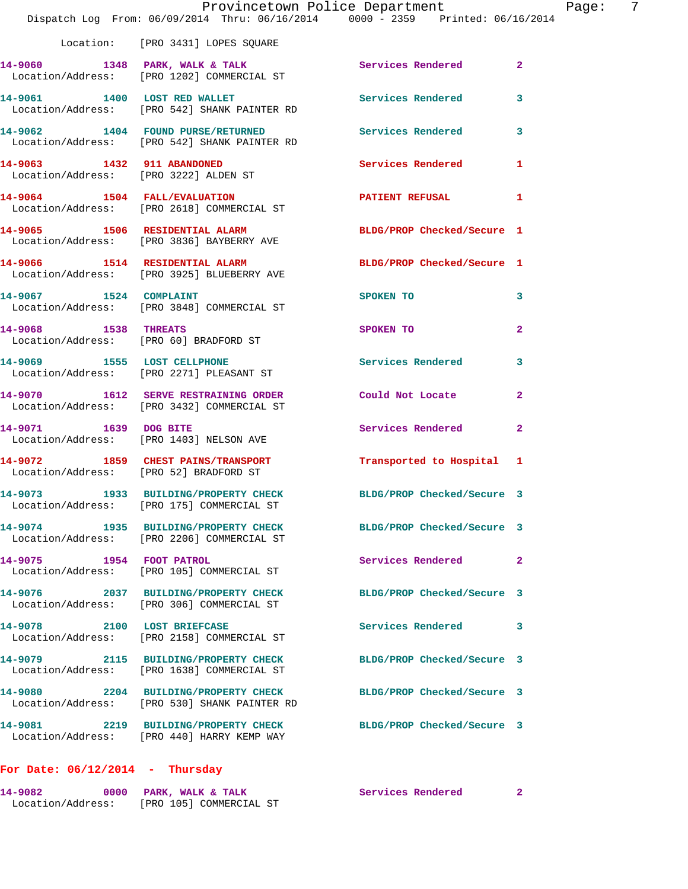|                                        | Provincetown Police Department<br>Dispatch Log From: 06/09/2014 Thru: 06/16/2014 0000 - 2359 Printed: 06/16/2014 |                            |                |
|----------------------------------------|------------------------------------------------------------------------------------------------------------------|----------------------------|----------------|
|                                        | Location: [PRO 3431] LOPES SQUARE                                                                                |                            |                |
|                                        | 14-9060 1348 PARK, WALK & TALK Services Rendered<br>Location/Address: [PRO 1202] COMMERCIAL ST                   |                            | $\overline{2}$ |
|                                        | 14-9061 1400 LOST RED WALLET<br>Location/Address: [PRO 542] SHANK PAINTER RD                                     | Services Rendered          | 3              |
|                                        | 14-9062 1404 FOUND PURSE/RETURNED Services Rendered<br>Location/Address: [PRO 542] SHANK PAINTER RD              |                            | 3              |
| 14-9063 1432 911 ABANDONED             | Location/Address: [PRO 3222] ALDEN ST                                                                            | <b>Services Rendered</b>   | 1              |
|                                        | 14-9064 1504 FALL/EVALUATION<br>Location/Address: [PRO 2618] COMMERCIAL ST                                       | PATIENT REFUSAL            | 1              |
|                                        | 14-9065 1506 RESIDENTIAL ALARM<br>Location/Address: [PRO 3836] BAYBERRY AVE                                      | BLDG/PROP Checked/Secure 1 |                |
|                                        | 14-9066 1514 RESIDENTIAL ALARM<br>Location/Address: [PRO 3925] BLUEBERRY AVE                                     | BLDG/PROP Checked/Secure 1 |                |
| 14-9067 1524 COMPLAINT                 | Location/Address: [PRO 3848] COMMERCIAL ST                                                                       | SPOKEN TO                  | 3              |
| 14-9068 1538 THREATS                   | Location/Address: [PRO 60] BRADFORD ST                                                                           | <b>SPOKEN TO</b>           | $\overline{2}$ |
|                                        | 14-9069 1555 LOST CELLPHONE<br>Location/Address: [PRO 2271] PLEASANT ST                                          | Services Rendered          | 3              |
|                                        | 14-9070 1612 SERVE RESTRAINING ORDER<br>Location/Address: [PRO 3432] COMMERCIAL ST                               | Could Not Locate           | $\overline{2}$ |
| 14-9071 1639 DOG BITE                  | Location/Address: [PRO 1403] NELSON AVE                                                                          | Services Rendered          | $\mathbf{2}$   |
| Location/Address: [PRO 52] BRADFORD ST | 14-9072 1859 CHEST PAINS/TRANSPORT                                                                               | Transported to Hospital 1  |                |
|                                        | 14-9073 1933 BUILDING/PROPERTY CHECK<br>Location/Address: [PRO 175] COMMERCIAL ST                                | BLDG/PROP Checked/Secure 3 |                |
|                                        | 14-9074 1935 BUILDING/PROPERTY CHECK<br>Location/Address: [PRO 2206] COMMERCIAL ST                               | BLDG/PROP Checked/Secure 3 |                |
| 14-9075 1954 FOOT PATROL               | Location/Address: [PRO 105] COMMERCIAL ST                                                                        | Services Rendered          | $\mathbf{2}$   |
|                                        | 14-9076 2037 BUILDING/PROPERTY CHECK<br>Location/Address: [PRO 306] COMMERCIAL ST                                | BLDG/PROP Checked/Secure 3 |                |
| 14-9078 2100 LOST BRIEFCASE            | Location/Address: [PRO 2158] COMMERCIAL ST                                                                       | <b>Services Rendered</b>   | 3              |
|                                        | 14-9079 2115 BUILDING/PROPERTY CHECK<br>Location/Address: [PRO 1638] COMMERCIAL ST                               | BLDG/PROP Checked/Secure 3 |                |
|                                        | 14-9080 2204 BUILDING/PROPERTY CHECK<br>Location/Address: [PRO 530] SHANK PAINTER RD                             | BLDG/PROP Checked/Secure 3 |                |
|                                        | 14-9081 2219 BUILDING/PROPERTY CHECK<br>Location/Address: [PRO 440] HARRY KEMP WAY                               | BLDG/PROP Checked/Secure 3 |                |
| For Date: $06/12/2014$ - Thursday      |                                                                                                                  |                            |                |

## **14-9082 0000 PARK, WALK & TALK Services Rendered 2**

Location/Address: [PRO 105] COMMERCIAL ST

Page: 7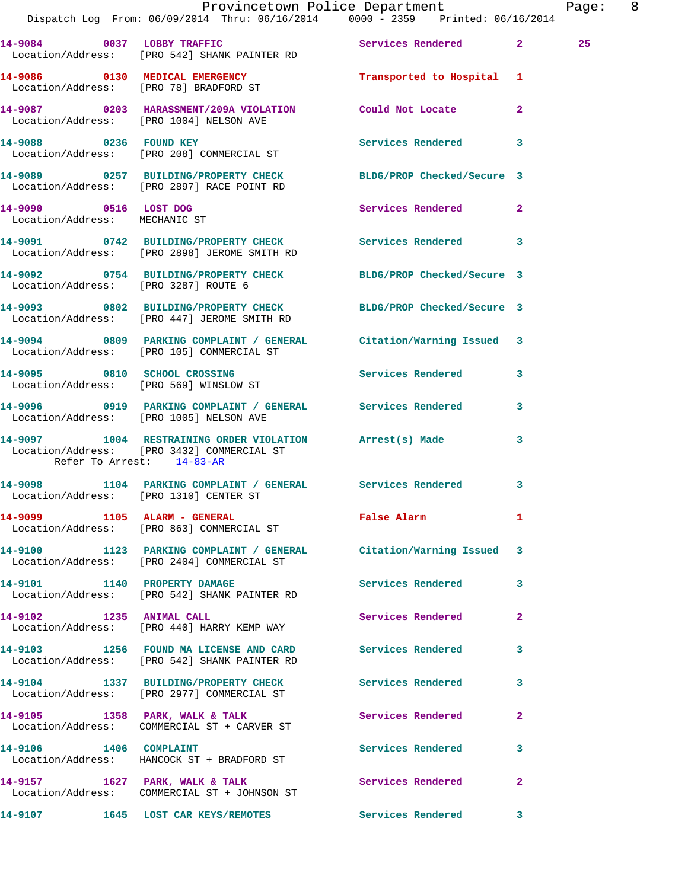|                                                        | Provincetown Police Department<br>Dispatch Log From: 06/09/2014 Thru: 06/16/2014 0000 - 2359 Printed: 06/16/2014 |                          |              | Page: 8 |  |
|--------------------------------------------------------|------------------------------------------------------------------------------------------------------------------|--------------------------|--------------|---------|--|
|                                                        | 14-9084 0037 LOBBY TRAFFIC Services Rendered 2<br>Location/Address: [PRO 542] SHANK PAINTER RD                   |                          |              | 25      |  |
|                                                        | Location/Address: [PRO 78] BRADFORD ST                                                                           |                          |              |         |  |
|                                                        | 14-9087 0203 HARASSMENT/209A VIOLATION Could Not Locate<br>Location/Address: [PRO 1004] NELSON AVE               |                          | $\mathbf{2}$ |         |  |
|                                                        |                                                                                                                  | Services Rendered 3      |              |         |  |
|                                                        | 14-9089 0257 BUILDING/PROPERTY CHECK BLDG/PROP Checked/Secure 3<br>Location/Address: [PRO 2897] RACE POINT RD    |                          |              |         |  |
| 14-9090 0516 LOST DOG<br>Location/Address: MECHANIC ST |                                                                                                                  | <b>Services Rendered</b> | $\mathbf{2}$ |         |  |
|                                                        | 14-9091 0742 BUILDING/PROPERTY CHECK Services Rendered 3<br>Location/Address: [PRO 2898] JEROME SMITH RD         |                          |              |         |  |
| Location/Address: [PRO 3287] ROUTE 6                   | 14-9092 0754 BUILDING/PROPERTY CHECK BLDG/PROP Checked/Secure 3                                                  |                          |              |         |  |
|                                                        | 14-9093 0802 BUILDING/PROPERTY CHECK BLDG/PROP Checked/Secure 3<br>Location/Address: [PRO 447] JEROME SMITH RD   |                          |              |         |  |
|                                                        | 14-9094 0809 PARKING COMPLAINT / GENERAL Citation/Warning Issued 3<br>Location/Address: [PRO 105] COMMERCIAL ST  |                          |              |         |  |
|                                                        | 14-9095 0810 SCHOOL CROSSING<br>Location/Address: [PRO 569] WINSLOW ST                                           | Services Rendered 3      |              |         |  |
|                                                        | 14-9096 0919 PARKING COMPLAINT / GENERAL Services Rendered<br>Location/Address: [PRO 1005] NELSON AVE            |                          | 3            |         |  |
| Refer To Arrest: 14-83-AR                              | 14-9097 1004 RESTRAINING ORDER VIOLATION Arrest(s) Made<br>Location/Address: [PRO 3432] COMMERCIAL ST            |                          | 3            |         |  |
|                                                        | 14-9098 1104 PARKING COMPLAINT / GENERAL Services Rendered<br>Location/Address: [PRO 1310] CENTER ST             |                          | 3            |         |  |
|                                                        | 14-9099 1105 ALARM - GENERAL<br>Location/Address: [PRO 863] COMMERCIAL ST                                        | False Alarm              | 1            |         |  |
|                                                        | 14-9100 1123 PARKING COMPLAINT / GENERAL Citation/Warning Issued 3<br>Location/Address: [PRO 2404] COMMERCIAL ST |                          |              |         |  |
|                                                        | 14-9101 1140 PROPERTY DAMAGE<br>Location/Address: [PRO 542] SHANK PAINTER RD                                     | Services Rendered 3      |              |         |  |
|                                                        | 14-9102 1235 ANIMAL CALL<br>Location/Address: [PRO 440] HARRY KEMP WAY                                           | Services Rendered        | $\mathbf{2}$ |         |  |
|                                                        | 14-9103 1256 FOUND MA LICENSE AND CARD Services Rendered<br>Location/Address: [PRO 542] SHANK PAINTER RD         |                          | 3            |         |  |
|                                                        | 14-9104 1337 BUILDING/PROPERTY CHECK Services Rendered<br>Location/Address: [PRO 2977] COMMERCIAL ST             |                          | 3            |         |  |
|                                                        | 14-9105 1358 PARK, WALK & TALK<br>Location/Address: COMMERCIAL ST + CARVER ST                                    | Services Rendered        | $\mathbf{2}$ |         |  |
|                                                        | 14-9106 1406 COMPLAINT<br>Location/Address: HANCOCK ST + BRADFORD ST                                             | <b>Services Rendered</b> | 3            |         |  |
|                                                        | 14-9157 1627 PARK, WALK & TALK<br>Location/Address: COMMERCIAL ST + JOHNSON ST                                   | Services Rendered        | $\mathbf{2}$ |         |  |
|                                                        | 14-9107 1645 LOST CAR KEYS/REMOTES                                                                               | <b>Services Rendered</b> | $\mathbf{3}$ |         |  |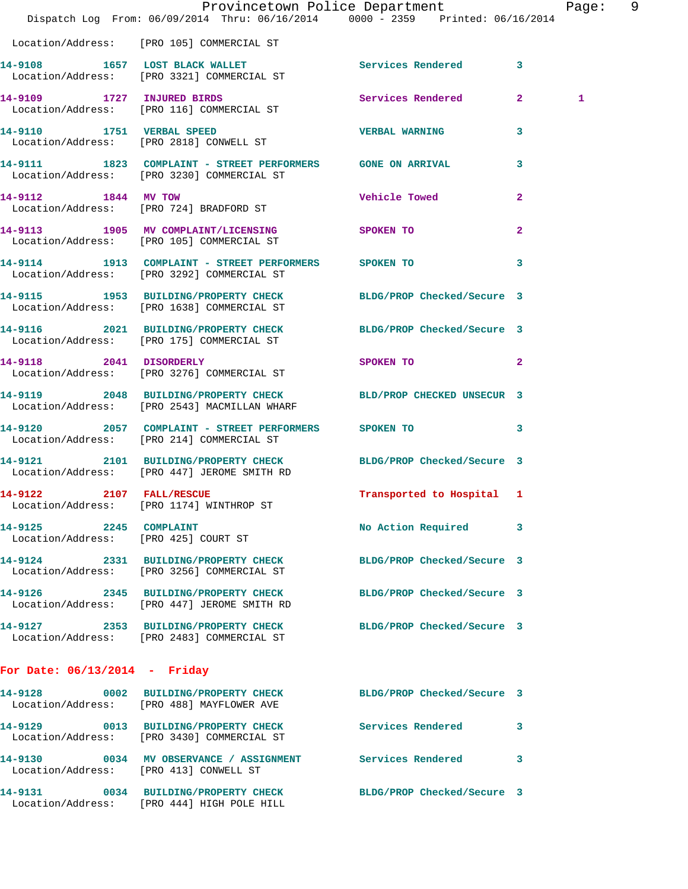|                                 |                                                                                                                 | Provincetown Police Department | Page: 9 |
|---------------------------------|-----------------------------------------------------------------------------------------------------------------|--------------------------------|---------|
|                                 | Dispatch Log From: 06/09/2014 Thru: 06/16/2014 0000 - 2359 Printed: 06/16/2014                                  |                                |         |
|                                 | Location/Address: [PRO 105] COMMERCIAL ST                                                                       |                                |         |
|                                 | 14-9108 1657 LOST BLACK WALLET Services Rendered<br>Location/Address: [PRO 3321] COMMERCIAL ST                  | $\mathbf{3}$                   |         |
|                                 | 14-9109 1727 INJURED BIRDS 3 Services Rendered 2<br>Location/Address: [PRO 116] COMMERCIAL ST                   |                                | 1       |
|                                 | 14-9110 1751 VERBAL SPEED<br>Location/Address: [PRO 2818] CONWELL ST                                            | <b>VERBAL WARNING</b><br>3     |         |
|                                 | 14-9111 1823 COMPLAINT - STREET PERFORMERS GONE ON ARRIVAL<br>Location/Address: [PRO 3230] COMMERCIAL ST        | 3                              |         |
| 14-9112 1844 MV TOW             | Location/Address: [PRO 724] BRADFORD ST                                                                         | Vehicle Towed<br>$\mathbf{2}$  |         |
|                                 | 14-9113 1905 MV COMPLAINT/LICENSING SPOKEN TO<br>Location/Address: [PRO 105] COMMERCIAL ST                      | $\mathbf{2}$                   |         |
|                                 | 14-9114 1913 COMPLAINT - STREET PERFORMERS SPOKEN TO<br>Location/Address: [PRO 3292] COMMERCIAL ST              | 3                              |         |
|                                 | 14-9115 1953 BUILDING/PROPERTY CHECK BLDG/PROP Checked/Secure 3<br>Location/Address: [PRO 1638] COMMERCIAL ST   |                                |         |
|                                 | 14-9116 2021 BUILDING/PROPERTY CHECK BLDG/PROP Checked/Secure 3<br>Location/Address: [PRO 175] COMMERCIAL ST    |                                |         |
|                                 | 14-9118 2041 DISORDERLY<br>Location/Address: [PRO 3276] COMMERCIAL ST                                           | SPOKEN TO<br>$\mathbf{2}$      |         |
|                                 | 14-9119 2048 BUILDING/PROPERTY CHECK BLD/PROP CHECKED UNSECUR 3<br>Location/Address: [PRO 2543] MACMILLAN WHARF |                                |         |
|                                 | 14-9120 2057 COMPLAINT - STREET PERFORMERS SPOKEN TO<br>Location/Address: [PRO 214] COMMERCIAL ST               | 3                              |         |
|                                 | 14-9121 2101 BUILDING/PROPERTY CHECK BLDG/PROP Checked/Secure 3<br>Location/Address: [PRO 447] JEROME SMITH RD  |                                |         |
| 14-9122 2107 FALL/RESCUE        | Location/Address: [PRO 1174] WINTHROP ST                                                                        | Transported to Hospital 1      |         |
| 14-9125 2245 COMPLAINT          | Location/Address: [PRO 425] COURT ST                                                                            | No Action Required<br>3        |         |
|                                 | 14-9124 2331 BUILDING/PROPERTY CHECK<br>Location/Address: [PRO 3256] COMMERCIAL ST                              | BLDG/PROP Checked/Secure 3     |         |
|                                 | 14-9126 2345 BUILDING/PROPERTY CHECK BLDG/PROP Checked/Secure 3<br>Location/Address: [PRO 447] JEROME SMITH RD  |                                |         |
|                                 | 14-9127 2353 BUILDING/PROPERTY CHECK<br>Location/Address: [PRO 2483] COMMERCIAL ST                              | BLDG/PROP Checked/Secure 3     |         |
| For Date: $06/13/2014$ - Friday |                                                                                                                 |                                |         |
|                                 | 14-9128 0002 BUILDING/PROPERTY CHECK BLDG/PROP Checked/Secure 3<br>Location/Address: [PRO 488] MAYFLOWER AVE    |                                |         |
|                                 | 14-9129 0013 BUILDING/PROPERTY CHECK Services Rendered<br>Location/Address: [PRO 3430] COMMERCIAL ST            | 3                              |         |
|                                 | 14-9130 0034 MV OBSERVANCE / ASSIGNMENT Services Rendered<br>Location/Address: [PRO 413] CONWELL ST             | 3                              |         |
|                                 | 14-9131 0034 BUILDING/PROPERTY CHECK<br>Location/Address: [PRO 444] HIGH POLE HILL                              | BLDG/PROP Checked/Secure 3     |         |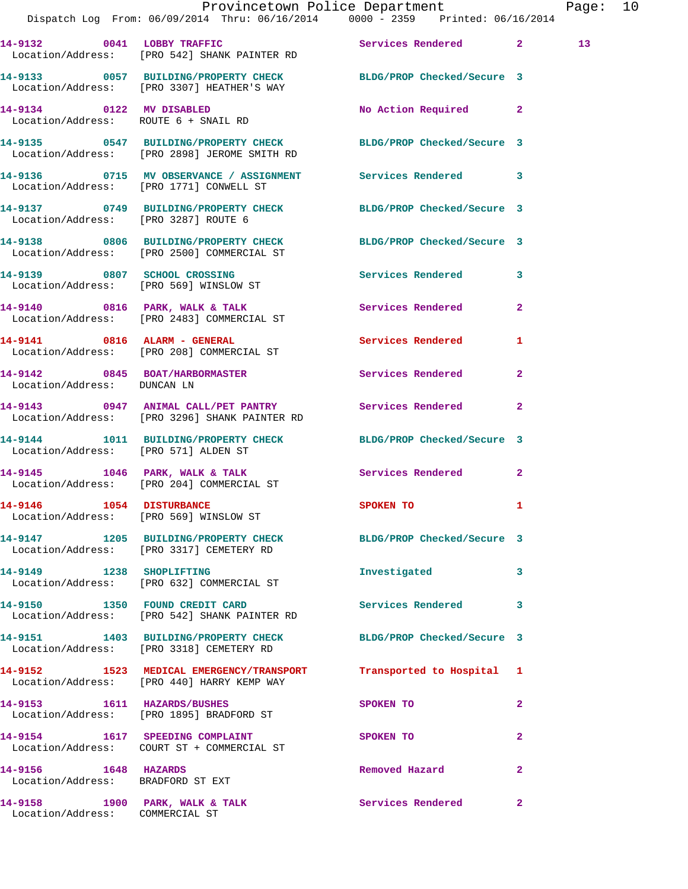|                                                                    | Dispatch Log From: 06/09/2014 Thru: 06/16/2014   0000 - 2359   Printed: 06/16/2014                                    | Provincetown Police Department |              | Page: 10        |  |
|--------------------------------------------------------------------|-----------------------------------------------------------------------------------------------------------------------|--------------------------------|--------------|-----------------|--|
|                                                                    | 14-9132 0041 LOBBY TRAFFIC Services Rendered 2<br>Location/Address: [PRO 542] SHANK PAINTER RD                        |                                |              | 13 <sup>7</sup> |  |
|                                                                    | 14-9133 0057 BUILDING/PROPERTY CHECK BLDG/PROP Checked/Secure 3<br>Location/Address: [PRO 3307] HEATHER'S WAY         |                                |              |                 |  |
|                                                                    | 14-9134 0122 MV DISABLED<br>Location/Address: ROUTE 6 + SNAIL RD                                                      | No Action Required 2           |              |                 |  |
|                                                                    | 14-9135   0547   BUILDING/PROPERTY CHECK   BLDG/PROP Checked/Secure 3<br>Location/Address: [PRO 2898] JEROME SMITH RD |                                |              |                 |  |
|                                                                    |                                                                                                                       |                                |              |                 |  |
|                                                                    | 14-9137 0749 BUILDING/PROPERTY CHECK BLDG/PROP Checked/Secure 3<br>Location/Address: [PRO 3287] ROUTE 6               |                                |              |                 |  |
|                                                                    | 14-9138 0806 BUILDING/PROPERTY CHECK BLDG/PROP Checked/Secure 3<br>Location/Address: [PRO 2500] COMMERCIAL ST         |                                |              |                 |  |
|                                                                    | 14-9139 0807 SCHOOL CROSSING<br>Location/Address: [PRO 569] WINSLOW ST                                                | Services Rendered 3            |              |                 |  |
|                                                                    | 14-9140 0816 PARK, WALK & TALK 3 Services Rendered 2<br>Location/Address: [PRO 2483] COMMERCIAL ST                    |                                |              |                 |  |
|                                                                    | 14-9141 0816 ALARM - GENERAL<br>Location/Address: [PRO 208] COMMERCIAL ST                                             | <b>Services Rendered</b>       | 1            |                 |  |
| Location/Address: DUNCAN LN                                        | 14-9142 0845 BOAT/HARBORMASTER Services Rendered 2                                                                    |                                |              |                 |  |
|                                                                    | 14-9143 0947 ANIMAL CALL/PET PANTRY Services Rendered<br>Location/Address: [PRO 3296] SHANK PAINTER RD                |                                | $\mathbf{2}$ |                 |  |
| Location/Address: [PRO 571] ALDEN ST                               | 14-9144 1011 BUILDING/PROPERTY CHECK BLDG/PROP Checked/Secure 3                                                       |                                |              |                 |  |
|                                                                    | 14-9145 1046 PARK, WALK & TALK<br>Location/Address: [PRO 204] COMMERCIAL ST                                           | Services Rendered 2            |              |                 |  |
| 14-9146 1054 DISTURBANCE<br>Location/Address: [PRO 569] WINSLOW ST |                                                                                                                       | <b>SPOKEN TO</b>               |              |                 |  |
|                                                                    | 14-9147 1205 BUILDING/PROPERTY CHECK BLDG/PROP Checked/Secure 3<br>Location/Address: [PRO 3317] CEMETERY RD           |                                |              |                 |  |
|                                                                    | 14-9149 1238 SHOPLIFTING<br>Location/Address: [PRO 632] COMMERCIAL ST                                                 | Investigated                   | 3            |                 |  |
|                                                                    | 14-9150 1350 FOUND CREDIT CARD<br>Location/Address: [PRO 542] SHANK PAINTER RD                                        | Services Rendered              | 3            |                 |  |
|                                                                    | 14-9151 1403 BUILDING/PROPERTY CHECK BLDG/PROP Checked/Secure 3<br>Location/Address: [PRO 3318] CEMETERY RD           |                                |              |                 |  |
|                                                                    | 14-9152 1523 MEDICAL EMERGENCY/TRANSPORT<br>Location/Address: [PRO 440] HARRY KEMP WAY                                | Transported to Hospital 1      |              |                 |  |
|                                                                    | 14-9153 1611 HAZARDS/BUSHES<br>Location/Address: [PRO 1895] BRADFORD ST                                               | SPOKEN TO                      | $\mathbf{2}$ |                 |  |
|                                                                    | 14-9154 1617 SPEEDING COMPLAINT<br>Location/Address: COURT ST + COMMERCIAL ST                                         | SPOKEN TO                      | $\mathbf{2}$ |                 |  |
| 14-9156 1648 HAZARDS<br>Location/Address: BRADFORD ST EXT          |                                                                                                                       | Removed Hazard                 | 2            |                 |  |
| Location/Address: COMMERCIAL ST                                    | 14-9158 1900 PARK, WALK & TALK 1999 Services Rendered                                                                 |                                | -2           |                 |  |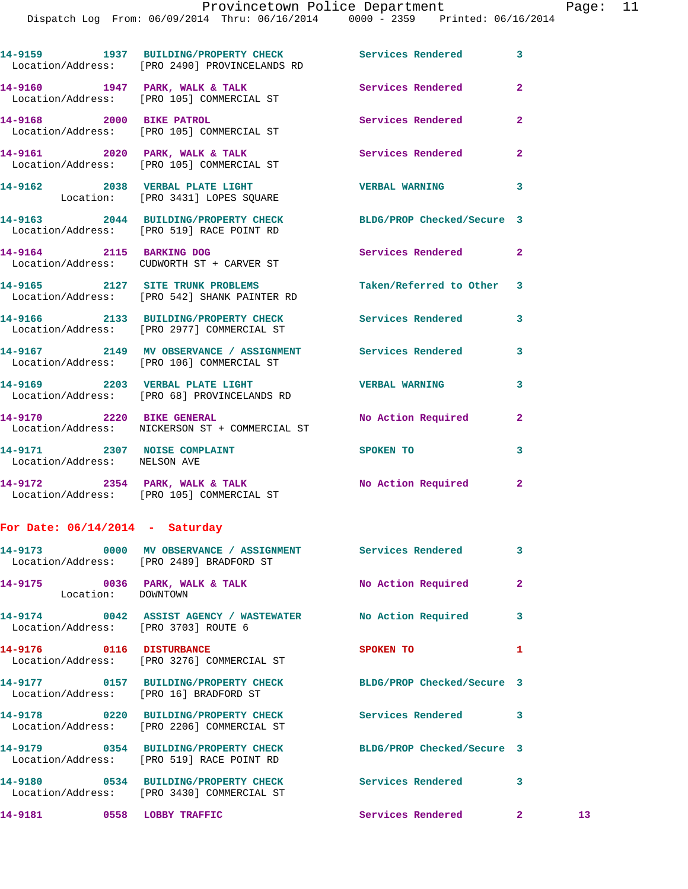**14-9159 1937 BUILDING/PROPERTY CHECK Services Rendered 3**  Location/Address: [PRO 2490] PROVINCELANDS RD 14-9160 1947 PARK, WALK & TALK **Services Rendered** 2 Location/Address: [PRO 105] COMMERCIAL ST **14-9168 2000 BIKE PATROL Services Rendered 2**  Location/Address: [PRO 105] COMMERCIAL ST 14-9161 2020 PARK, WALK & TALK **Services Rendered** 2 Location/Address: [PRO 105] COMMERCIAL ST **14-9162 2038 VERBAL PLATE LIGHT VERBAL WARNING 3**  Location: [PRO 3431] LOPES SQUARE **14-9163 2044 BUILDING/PROPERTY CHECK BLDG/PROP Checked/Secure 3**  Location/Address: [PRO 519] RACE POINT RD **14-9164 2115 BARKING DOG Services Rendered 2**  Location/Address: CUDWORTH ST + CARVER ST **14-9165 2127 SITE TRUNK PROBLEMS Taken/Referred to Other 3**  Location/Address: [PRO 542] SHANK PAINTER RD **14-9166 2133 BUILDING/PROPERTY CHECK Services Rendered 3**  Location/Address: [PRO 2977] COMMERCIAL ST **14-9167 2149 MV OBSERVANCE / ASSIGNMENT Services Rendered 3**  Location/Address: [PRO 106] COMMERCIAL ST **14-9169 2203 VERBAL PLATE LIGHT VERBAL WARNING 3**  Location/Address: [PRO 68] PROVINCELANDS RD **14-9170 2220 BIKE GENERAL No Action Required 2**  Location/Address: NICKERSON ST + COMMERCIAL ST **14-9171 2307 NOISE COMPLAINT SPOKEN TO 3**  Location/Address: NELSON AVE **14-9172 2354 PARK, WALK & TALK No Action Required 2**  Location/Address: [PRO 105] COMMERCIAL ST **For Date: 06/14/2014 - Saturday 14-9173 0000 MV OBSERVANCE / ASSIGNMENT Services Rendered 3**  Location/Address: [PRO 2489] BRADFORD ST **14-9175 0036 PARK, WALK & TALK No Action Required 2**  Location: DOWNTOWN **14-9174 0042 ASSIST AGENCY / WASTEWATER No Action Required 3**  Location/Address: [PRO 3703] ROUTE 6 **14-9176 0116 DISTURBANCE SPOKEN TO 1**  Location/Address: [PRO 3276] COMMERCIAL ST **14-9177 0157 BUILDING/PROPERTY CHECK BLDG/PROP Checked/Secure 3**  Location/Address: [PRO 16] BRADFORD ST **14-9178 0220 BUILDING/PROPERTY CHECK Services Rendered 3**  Location/Address: [PRO 2206] COMMERCIAL ST **14-9179 0354 BUILDING/PROPERTY CHECK BLDG/PROP Checked/Secure 3**  Location/Address: [PRO 519] RACE POINT RD **14-9180 0534 BUILDING/PROPERTY CHECK Services Rendered 3**  Location/Address: [PRO 3430] COMMERCIAL ST **14-9181 0558 LOBBY TRAFFIC Services Rendered 2 13**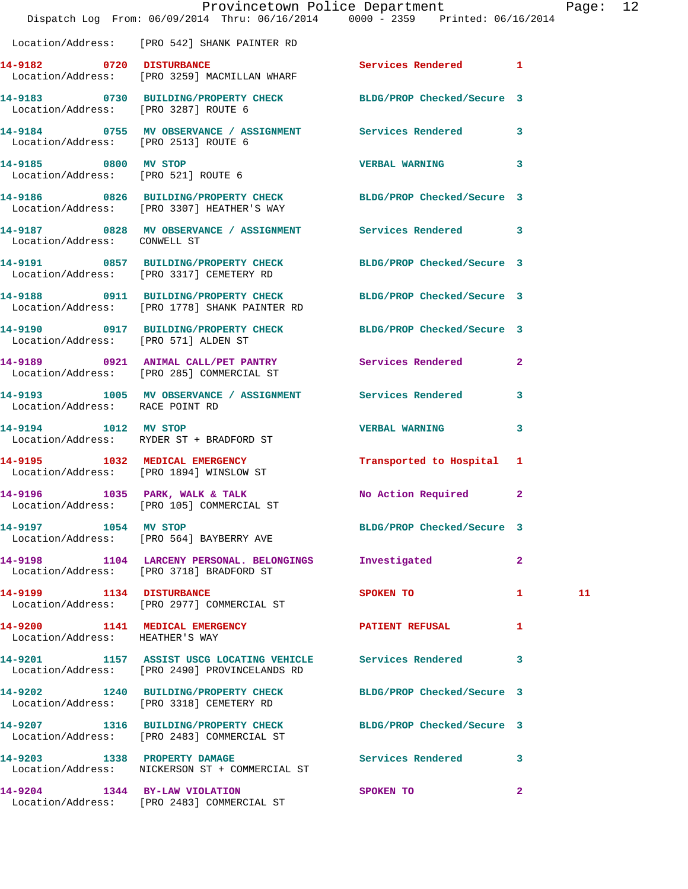|                                      | Dispatch Log From: 06/09/2014 Thru: 06/16/2014 0000 - 2359 Printed: 06/16/2014                                   | Provincetown Police Department |              | Page: 12 |  |
|--------------------------------------|------------------------------------------------------------------------------------------------------------------|--------------------------------|--------------|----------|--|
|                                      | Location/Address: [PRO 542] SHANK PAINTER RD                                                                     |                                |              |          |  |
|                                      | 14-9182 0720 DISTURBANCE Services Rendered 1<br>Location/Address: [PRO 3259] MACMILLAN WHARF                     |                                |              |          |  |
|                                      | 14-9183 0730 BUILDING/PROPERTY CHECK BLDG/PROP Checked/Secure 3<br>Location/Address: [PRO 3287] ROUTE 6          |                                |              |          |  |
| Location/Address: [PRO 2513] ROUTE 6 | 14-9184 0755 MV OBSERVANCE / ASSIGNMENT Services Rendered 3                                                      |                                |              |          |  |
| 14-9185 0800 MV STOP                 | Location/Address: [PRO 521] ROUTE 6                                                                              | VERBAL WARNING 3               |              |          |  |
|                                      | 14-9186 0826 BUILDING/PROPERTY CHECK BLDG/PROP Checked/Secure 3<br>Location/Address: [PRO 3307] HEATHER'S WAY    |                                |              |          |  |
| Location/Address: CONWELL ST         | 14-9187 0828 MV OBSERVANCE / ASSIGNMENT Services Rendered 3                                                      |                                |              |          |  |
|                                      | 14-9191 0857 BUILDING/PROPERTY CHECK BLDG/PROP Checked/Secure 3<br>Location/Address: [PRO 3317] CEMETERY RD      |                                |              |          |  |
|                                      | 14-9188 0911 BUILDING/PROPERTY CHECK BLDG/PROP Checked/Secure 3<br>Location/Address: [PRO 1778] SHANK PAINTER RD |                                |              |          |  |
| Location/Address: [PRO 571] ALDEN ST | 14-9190 0917 BUILDING/PROPERTY CHECK BLDG/PROP Checked/Secure 3                                                  |                                |              |          |  |
|                                      | 14-9189 0921 ANIMAL CALL/PET PANTRY Services Rendered 2<br>Location/Address: [PRO 285] COMMERCIAL ST             |                                |              |          |  |
| Location/Address: RACE POINT RD      | 14-9193 1005 MV OBSERVANCE / ASSIGNMENT Services Rendered 3                                                      |                                |              |          |  |
|                                      | 14-9194 1012 MV STOP<br>Location/Address: RYDER ST + BRADFORD ST                                                 | <b>VERBAL WARNING</b>          | 3            |          |  |
|                                      | 14-9195 1032 MEDICAL EMERGENCY<br>Location/Address: [PRO 1894] WINSLOW ST                                        | Transported to Hospital 1      |              |          |  |
|                                      | 14-9196 1035 PARK, WALK & TALK<br>Location/Address: [PRO 105] COMMERCIAL ST                                      | No Action Required 2           |              |          |  |
| 14-9197 1054 MV STOP                 | Location/Address: [PRO 564] BAYBERRY AVE                                                                         | BLDG/PROP Checked/Secure 3     |              |          |  |
|                                      | 14-9198 1104 LARCENY PERSONAL. BELONGINGS<br>Location/Address: [PRO 3718] BRADFORD ST                            | Investigated                   | $\mathbf{2}$ |          |  |
|                                      | 14-9199 1134 DISTURBANCE<br>Location/Address: [PRO 2977] COMMERCIAL ST                                           | SPOKEN TO                      | $\mathbf{1}$ | 11       |  |
| Location/Address: HEATHER'S WAY      | 14-9200 1141 MEDICAL EMERGENCY                                                                                   | <b>PATIENT REFUSAL</b>         | 1            |          |  |
|                                      | 14-9201 1157 ASSIST USCG LOCATING VEHICLE Services Rendered 3<br>Location/Address: [PRO 2490] PROVINCELANDS RD   |                                |              |          |  |
|                                      | 14-9202 1240 BUILDING/PROPERTY CHECK BLDG/PROP Checked/Secure 3<br>Location/Address: [PRO 3318] CEMETERY RD      |                                |              |          |  |
|                                      | 14-9207 1316 BUILDING/PROPERTY CHECK BLDG/PROP Checked/Secure 3<br>Location/Address: [PRO 2483] COMMERCIAL ST    |                                |              |          |  |
|                                      | 14-9203 1338 PROPERTY DAMAGE<br>Location/Address: NICKERSON ST + COMMERCIAL ST                                   | Services Rendered 3            |              |          |  |
| 14-9204 1344 BY-LAW VIOLATION        | Location/Address: [PRO 2483] COMMERCIAL ST                                                                       | SPOKEN TO                      | $\mathbf{2}$ |          |  |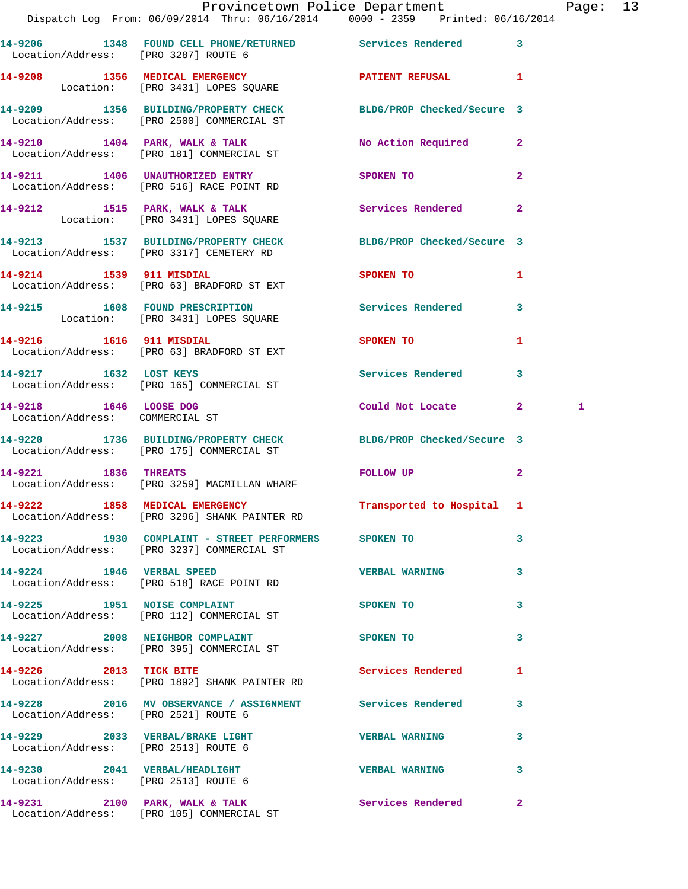|                                                           | Provincetown Police Department Page: 13                                                                       |                                                                                                                                                                                                                                |                |   |  |
|-----------------------------------------------------------|---------------------------------------------------------------------------------------------------------------|--------------------------------------------------------------------------------------------------------------------------------------------------------------------------------------------------------------------------------|----------------|---|--|
|                                                           | Dispatch Log From: 06/09/2014 Thru: 06/16/2014 0000 - 2359 Printed: 06/16/2014                                |                                                                                                                                                                                                                                |                |   |  |
| Location/Address: [PRO 3287] ROUTE 6                      | 14-9206 1348 FOUND CELL PHONE/RETURNED Services Rendered 3                                                    |                                                                                                                                                                                                                                |                |   |  |
|                                                           | 14-9208 1356 MEDICAL EMERGENCY 1 PATIENT REFUSAL 1<br>Location: [PRO 3431] LOPES SQUARE                       |                                                                                                                                                                                                                                |                |   |  |
|                                                           | 14-9209 1356 BUILDING/PROPERTY CHECK BLDG/PROP Checked/Secure 3<br>Location/Address: [PRO 2500] COMMERCIAL ST |                                                                                                                                                                                                                                |                |   |  |
|                                                           | 14-9210 1404 PARK, WALK & TALK NO Action Required 2<br>Location/Address: [PRO 181] COMMERCIAL ST              |                                                                                                                                                                                                                                |                |   |  |
|                                                           | 14-9211 1406 UNAUTHORIZED ENTRY<br>Location/Address: [PRO 516] RACE POINT RD                                  | <b>SPOKEN TO</b>                                                                                                                                                                                                               | $\mathbf{2}$   |   |  |
|                                                           | 14-9212 1515 PARK, WALK & TALK (Services Rendered 2)<br>Location: [PRO 3431] LOPES SQUARE                     |                                                                                                                                                                                                                                |                |   |  |
|                                                           | 14-9213 1537 BUILDING/PROPERTY CHECK BLDG/PROP Checked/Secure 3<br>Location/Address: [PRO 3317] CEMETERY RD   |                                                                                                                                                                                                                                |                |   |  |
|                                                           | 14-9214 1539 911 MISDIAL<br>Location/Address: [PRO 63] BRADFORD ST EXT                                        | SPOKEN TO                                                                                                                                                                                                                      | $\mathbf{1}$   |   |  |
|                                                           | 14-9215 1608 FOUND PRESCRIPTION Services Rendered 3<br>Location: [PRO 3431] LOPES SQUARE                      |                                                                                                                                                                                                                                |                |   |  |
|                                                           | 14-9216 1616 911 MISDIAL<br>Location/Address: [PRO 63] BRADFORD ST EXT                                        | SPOKEN TO                                                                                                                                                                                                                      | 1              |   |  |
|                                                           | 14-9217 1632 LOST KEYS<br>Location/Address: [PRO 165] COMMERCIAL ST                                           | Services Rendered 3                                                                                                                                                                                                            |                |   |  |
| 14-9218 1646 LOOSE DOG<br>Location/Address: COMMERCIAL ST |                                                                                                               | Could Not Locate 2                                                                                                                                                                                                             |                | 1 |  |
|                                                           | 14-9220 1736 BUILDING/PROPERTY CHECK BLDG/PROP Checked/Secure 3<br>Location/Address: [PRO 175] COMMERCIAL ST  |                                                                                                                                                                                                                                |                |   |  |
|                                                           | 14-9221 1836 THREATS<br>Location/Address: [PRO 3259] MACMILLAN WHARF                                          | FOLLOW UP THE TRANSPORTED TO A RESIDENCE OF THE TRANSPORTED TO A REPORT OF THE TRANSPORTED TO A REPORT OF THE TRANSPORTED TO A REPORT OF THE TRANSPORTED TO A REPORT OF THE TRANSPORTED TO A REPORT OF THE TRANSPORTED TO A RE | $\overline{2}$ |   |  |
|                                                           | 14-9222 1858 MEDICAL EMERGENCY<br>Location/Address: [PRO 3296] SHANK PAINTER RD                               | Transported to Hospital 1                                                                                                                                                                                                      |                |   |  |
|                                                           | 14-9223 1930 COMPLAINT - STREET PERFORMERS SPOKEN TO<br>Location/Address: [PRO 3237] COMMERCIAL ST            |                                                                                                                                                                                                                                | 3              |   |  |
|                                                           | 14-9224 1946 VERBAL SPEED<br>Location/Address: [PRO 518] RACE POINT RD                                        | <b>VERBAL WARNING</b>                                                                                                                                                                                                          | 3              |   |  |
|                                                           | 14-9225 1951 NOISE COMPLAINT<br>Location/Address: [PRO 112] COMMERCIAL ST                                     | <b>SPOKEN TO</b>                                                                                                                                                                                                               | 3              |   |  |
|                                                           | 14-9227 2008 NEIGHBOR COMPLAINT<br>Location/Address: [PRO 395] COMMERCIAL ST                                  | <b>SPOKEN TO</b>                                                                                                                                                                                                               | 3              |   |  |
|                                                           | 14-9226 2013 TICK BITE<br>Location/Address: [PRO 1892] SHANK PAINTER RD                                       | Services Rendered                                                                                                                                                                                                              | $\mathbf{1}$   |   |  |
| Location/Address: [PRO 2521] ROUTE 6                      | 14-9228 2016 MV OBSERVANCE / ASSIGNMENT Services Rendered 3                                                   |                                                                                                                                                                                                                                |                |   |  |
| Location/Address: [PRO 2513] ROUTE 6                      | 14-9229 2033 VERBAL/BRAKE LIGHT VERBAL WARNING                                                                |                                                                                                                                                                                                                                | 3              |   |  |
| Location/Address: [PRO 2513] ROUTE 6                      | 14-9230 2041 VERBAL/HEADLIGHT                                                                                 | <b>VERBAL WARNING</b>                                                                                                                                                                                                          | 3              |   |  |

**14-9231 2100 PARK, WALK & TALK Services Rendered 2**  Location/Address: [PRO 105] COMMERCIAL ST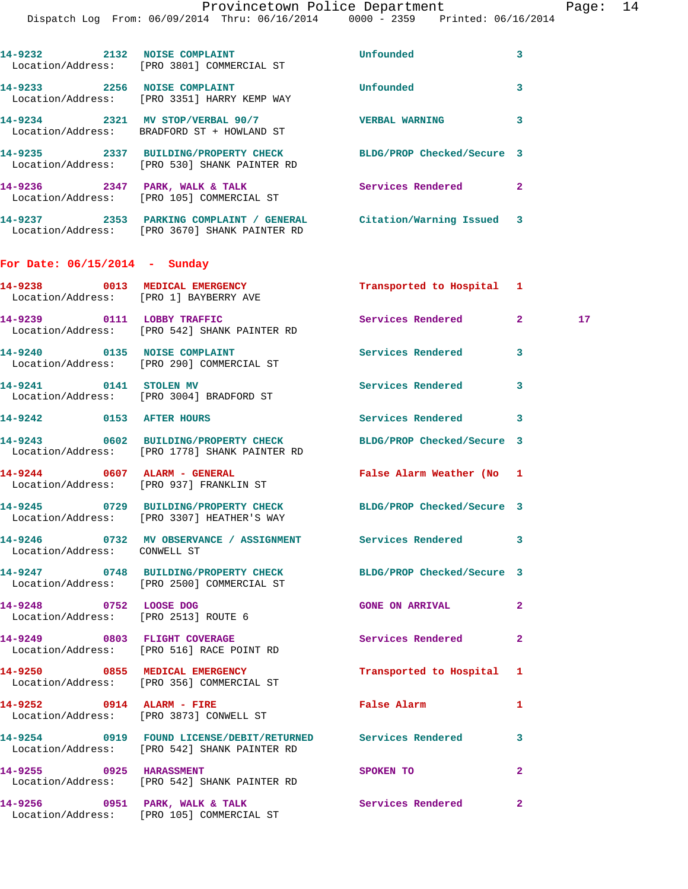| 14-9232 2132 NOISE COMPLAINT          |                                                                                                   | Unfounded                  | $\overline{\mathbf{3}}$ |
|---------------------------------------|---------------------------------------------------------------------------------------------------|----------------------------|-------------------------|
|                                       | Location/Address: [PRO 3801] COMMERCIAL ST                                                        |                            |                         |
| 14-9233 2256 NOISE COMPLAINT          |                                                                                                   | Unfounded                  | $\overline{\mathbf{3}}$ |
|                                       | Location/Address: [PRO 3351] HARRY KEMP WAY                                                       |                            |                         |
|                                       | 14-9234 2321 MV STOP/VERBAL 90/7                                                                  | <b>VERBAL WARNING</b>      | $\overline{\mathbf{3}}$ |
|                                       | Location/Address: BRADFORD ST + HOWLAND ST                                                        |                            |                         |
|                                       | 14-9235 2337 BUILDING/PROPERTY CHECK                                                              | BLDG/PROP Checked/Secure 3 |                         |
|                                       | Location/Address: [PRO 530] SHANK PAINTER RD                                                      |                            |                         |
|                                       | 14-9236 2347 PARK, WALK & TALK                                                                    | Services Rendered          | $\overline{2}$          |
|                                       | Location/Address: [PRO 105] COMMERCIAL ST                                                         |                            |                         |
|                                       | 14-9237                2353   PARKING COMPLAINT / GENERAL           Citation/Warning Issued     3 |                            |                         |
|                                       | Location/Address: [PRO 3670] SHANK PAINTER RD                                                     |                            |                         |
|                                       |                                                                                                   |                            |                         |
| For Date: $06/15/2014$ - Sunday       |                                                                                                   |                            |                         |
| 14-9238 and the set of $\sim$<br>0013 | MEDICAL EMERGENCY                                                                                 | Transported to Hospital 1  |                         |

| Location/Address:                    | [PRO 1] BAYBERRY AVE                              |                   |  |
|--------------------------------------|---------------------------------------------------|-------------------|--|
| 14-9239<br>0111<br>Location/Address: | LOBBY TRAFFIC<br>[PRO 542] SHANK PAINTER RD       | Services Rendered |  |
| 14-9240<br>0135<br>Location/Address: | <b>NOISE COMPLAINT</b><br>[PRO 290] COMMERCIAL ST | Services Rendered |  |

14-9241 0141 STOLEN MV Services Rendered 3 Location/Address: [PRO 3004] BRADFORD ST

## **14-9242 0153 AFTER HOURS Services Rendered 3 14-9243 0602 BUILDING/PROPERTY CHECK BLDG/PROP Checked/Secure 3**  Location/Address: [PRO 1778] SHANK PAINTER RD

**14-9244 0607 ALARM - GENERAL False Alarm Weather (No 1**  Location/Address: [PRO 937] FRANKLIN ST

**14-9245 0729 BUILDING/PROPERTY CHECK BLDG/PROP Checked/Secure 3**  Location/Address: [PRO 3307] HEATHER'S WAY

**14-9246 0732 MV OBSERVANCE / ASSIGNMENT Services Rendered 3**  Location/Address: CONWELL ST

**14-9248** 0752 LOOSE DOG GONE ON ARRIVAL 2 Location/Address: [PRO 2513] ROUTE 6

Location/Address: [PRO 3873] CONWELL ST

**14-9254 0919 FOUND LICENSE/DEBIT/RETURNED Services Rendered 3** 

**14-9255 0925 HARASSMENT SPOKEN TO 2** 

**14-9247 0748 BUILDING/PROPERTY CHECK BLDG/PROP Checked/Secure 3**  Location/Address: [PRO 2500] COMMERCIAL ST

**14-9249 0803 FLIGHT COVERAGE Services Rendered 2**  Location/Address: [PRO 516] RACE POINT RD

**14-9250 0855 MEDICAL EMERGENCY Transported to Hospital 1**  Location/Address: [PRO 356] COMMERCIAL ST

**14-9252 0914 ALARM - FIRE False Alarm 1** 

Location/Address: [PRO 542] SHANK PAINTER RD

Location/Address: [PRO 542] SHANK PAINTER RD

**14-9256 0951 PARK, WALK & TALK Services Rendered 2**  Location/Address: [PRO 105] COMMERCIAL ST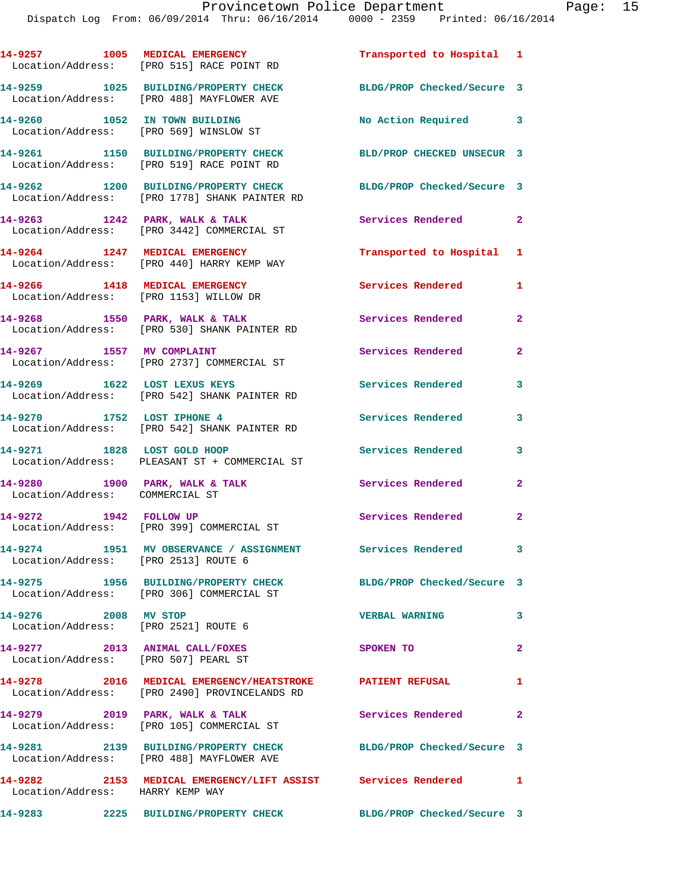|                                                                        | 14-9257 1005 MEDICAL EMERGENCY<br>Location/Address: [PRO 515] RACE POINT RD                                | Transported to Hospital 1  |                |
|------------------------------------------------------------------------|------------------------------------------------------------------------------------------------------------|----------------------------|----------------|
|                                                                        | 14-9259 1025 BUILDING/PROPERTY CHECK<br>Location/Address: [PRO 488] MAYFLOWER AVE                          | BLDG/PROP Checked/Secure 3 |                |
| 14-9260 1052 IN TOWN BUILDING                                          | Location/Address: [PRO 569] WINSLOW ST                                                                     | No Action Required 3       |                |
|                                                                        | 14-9261 1150 BUILDING/PROPERTY CHECK<br>Location/Address: [PRO 519] RACE POINT RD                          | BLD/PROP CHECKED UNSECUR 3 |                |
|                                                                        | 14-9262 1200 BUILDING/PROPERTY CHECK<br>Location/Address: [PRO 1778] SHANK PAINTER RD                      | BLDG/PROP Checked/Secure 3 |                |
|                                                                        | 14-9263 1242 PARK, WALK & TALK<br>Location/Address: [PRO 3442] COMMERCIAL ST                               | Services Rendered 2        |                |
|                                                                        | 14-9264 1247 MEDICAL EMERGENCY<br>Location/Address: [PRO 440] HARRY KEMP WAY                               | Transported to Hospital 1  |                |
|                                                                        | 14-9266 1418 MEDICAL EMERGENCY<br>Location/Address: [PRO 1153] WILLOW DR                                   | <b>Services Rendered</b>   | 1              |
|                                                                        | 14-9268 1550 PARK, WALK & TALK<br>Location/Address: [PRO 530] SHANK PAINTER RD                             | Services Rendered          | $\mathbf{2}$   |
|                                                                        | 14-9267 1557 MV COMPLAINT<br>Location/Address: [PRO 2737] COMMERCIAL ST                                    | Services Rendered          | $\mathbf{2}$   |
| 14-9269 1622 LOST LEXUS KEYS                                           | Location/Address: [PRO 542] SHANK PAINTER RD                                                               | <b>Services Rendered</b>   | 3              |
|                                                                        | 14-9270 1752 LOST IPHONE 4<br>Location/Address: [PRO 542] SHANK PAINTER RD                                 | Services Rendered          | 3              |
| 14-9271 1828 LOST GOLD HOOP                                            | Location/Address: PLEASANT ST + COMMERCIAL ST                                                              | <b>Services Rendered</b>   | 3              |
| Location/Address: COMMERCIAL ST                                        | 14-9280 1900 PARK, WALK & TALK                                                                             | <b>Services Rendered</b>   | $\overline{2}$ |
| 14-9272 1942 FOLLOW UP                                                 | Location/Address: [PRO 399] COMMERCIAL ST                                                                  | Services Rendered          | $\mathbf{2}$   |
| Location/Address: [PRO 2513] ROUTE 6                                   | 14-9274 1951 MV OBSERVANCE / ASSIGNMENT                                                                    | Services Rendered          | 3              |
|                                                                        | 14-9275 1956 BUILDING/PROPERTY CHECK<br>Location/Address: [PRO 306] COMMERCIAL ST                          | BLDG/PROP Checked/Secure 3 |                |
| 14-9276 2008 MV STOP<br>Location/Address: [PRO 2521] ROUTE 6           |                                                                                                            | <b>VERBAL WARNING</b>      | 3              |
| 14-9277 2013 ANIMAL CALL/FOXES<br>Location/Address: [PRO 507] PEARL ST |                                                                                                            | SPOKEN TO                  | $\overline{2}$ |
|                                                                        | 14-9278 2016 MEDICAL EMERGENCY/HEATSTROKE PATIENT REFUSAL<br>Location/Address: [PRO 2490] PROVINCELANDS RD |                            | 1              |
| $14-9279$ 2019 PARK, WALK & TALK                                       | Location/Address: [PRO 105] COMMERCIAL ST                                                                  | Services Rendered          | $\mathbf{2}$   |
|                                                                        |                                                                                                            | BLDG/PROP Checked/Secure 3 |                |
| Location/Address: HARRY KEMP WAY                                       | 14-9282 2153 MEDICAL EMERGENCY/LIFT ASSIST Services Rendered 1                                             |                            |                |
|                                                                        |                                                                                                            |                            |                |